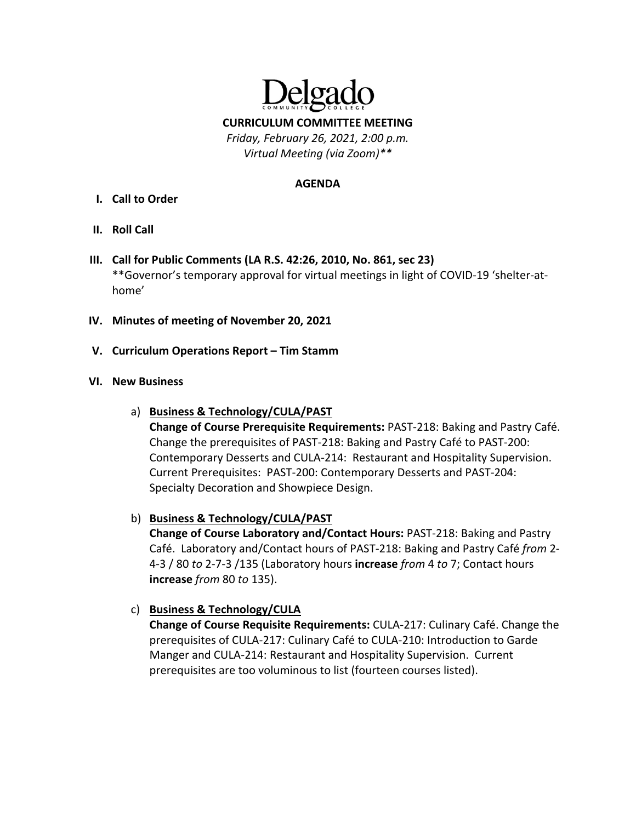

**CURRICULUM COMMITTEE MEETING**

*Friday, February 26, 2021, 2:00 p.m. Virtual Meeting (via Zoom)\*\**

#### **AGENDA**

- **I. Call to Order**
- **II. Roll Call**
- **III. Call for Public Comments (LA R.S. 42:26, 2010, No. 861, sec 23)** \*\*Governor's temporary approval for virtual meetings in light of COVID‐19 'shelter‐at‐ home'
- **IV. Minutes of meeting of November 20, 2021**
- **V. Curriculum Operations Report – Tim Stamm**

#### **VI. New Business**

- a) **Business & Technology/CULA/PAST Change of Course Prerequisite Requirements:** PAST‐218: Baking and Pastry Café. Change the prerequisites of PAST‐218: Baking and Pastry Café to PAST‐200: Contemporary Desserts and CULA‐214: Restaurant and Hospitality Supervision. Current Prerequisites: PAST‐200: Contemporary Desserts and PAST‐204: Specialty Decoration and Showpiece Design.
- b) **Business & Technology/CULA/PAST**

**Change of Course Laboratory and/Contact Hours:** PAST‐218: Baking and Pastry Café. Laboratory and/Contact hours of PAST‐218: Baking and Pastry Café *from* 2‐ 4‐3 / 80 *to* 2‐7‐3 /135 (Laboratory hours **increase** *from* 4 *to* 7; Contact hours **increase** *from* 80 *to* 135).

# c) **Business & Technology/CULA**

**Change of Course Requisite Requirements:** CULA‐217: Culinary Café. Change the prerequisites of CULA‐217: Culinary Café to CULA‐210: Introduction to Garde Manger and CULA‐214: Restaurant and Hospitality Supervision. Current prerequisites are too voluminous to list (fourteen courses listed).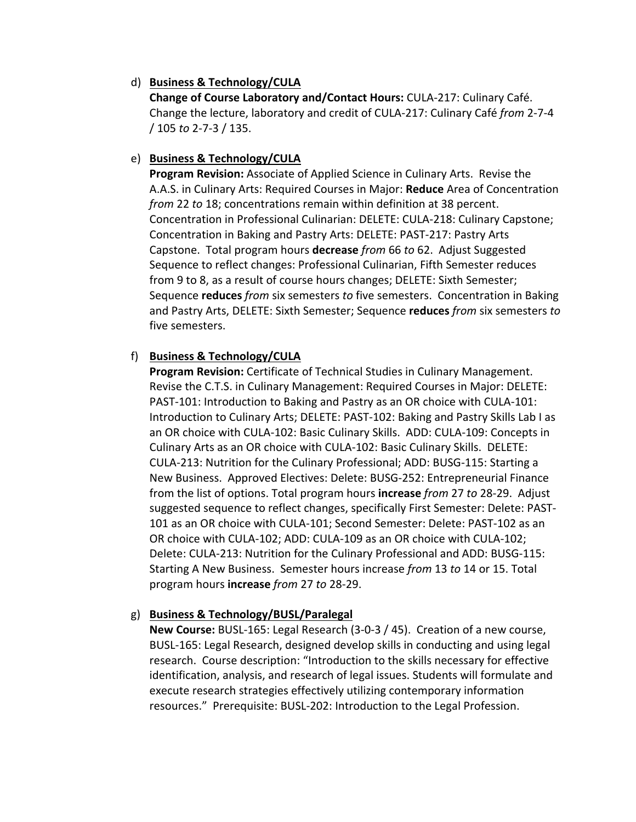### d) **Business & Technology/CULA**

**Change of Course Laboratory and/Contact Hours:** CULA‐217: Culinary Café. Change the lecture, laboratory and credit of CULA‐217: Culinary Café *from* 2‐7‐4 / 105 *to* 2‐7‐3 / 135.

#### e) **Business & Technology/CULA**

**Program Revision:** Associate of Applied Science in Culinary Arts. Revise the A.A.S. in Culinary Arts: Required Courses in Major: **Reduce** Area of Concentration *from* 22 *to* 18; concentrations remain within definition at 38 percent. Concentration in Professional Culinarian: DELETE: CULA‐218: Culinary Capstone; Concentration in Baking and Pastry Arts: DELETE: PAST‐217: Pastry Arts Capstone. Total program hours **decrease** *from* 66 *to* 62. Adjust Suggested Sequence to reflect changes: Professional Culinarian, Fifth Semester reduces from 9 to 8, as a result of course hours changes; DELETE: Sixth Semester; Sequence **reduces** *from* six semesters *to* five semesters. Concentration in Baking and Pastry Arts, DELETE: Sixth Semester; Sequence **reduces** *from* six semesters *to* five semesters.

# f) **Business & Technology/CULA**

**Program Revision:** Certificate of Technical Studies in Culinary Management. Revise the C.T.S. in Culinary Management: Required Courses in Major: DELETE: PAST‐101: Introduction to Baking and Pastry as an OR choice with CULA‐101: Introduction to Culinary Arts; DELETE: PAST-102: Baking and Pastry Skills Lab I as an OR choice with CULA‐102: Basic Culinary Skills. ADD: CULA‐109: Concepts in Culinary Arts as an OR choice with CULA‐102: Basic Culinary Skills. DELETE: CULA‐213: Nutrition for the Culinary Professional; ADD: BUSG‐115: Starting a New Business. Approved Electives: Delete: BUSG‐252: Entrepreneurial Finance from the list of options. Total program hours **increase** *from* 27 *to* 28‐29. Adjust suggested sequence to reflect changes, specifically First Semester: Delete: PAST‐ 101 as an OR choice with CULA‐101; Second Semester: Delete: PAST‐102 as an OR choice with CULA‐102; ADD: CULA‐109 as an OR choice with CULA‐102; Delete: CULA‐213: Nutrition for the Culinary Professional and ADD: BUSG‐115: Starting A New Business. Semester hours increase *from* 13 *to* 14 or 15. Total program hours **increase** *from* 27 *to* 28‐29.

# g) **Business & Technology/BUSL/Paralegal**

**New Course:** BUSL‐165: Legal Research (3‐0‐3 / 45). Creation of a new course, BUSL‐165: Legal Research, designed develop skills in conducting and using legal research. Course description: "Introduction to the skills necessary for effective identification, analysis, and research of legal issues. Students will formulate and execute research strategies effectively utilizing contemporary information resources." Prerequisite: BUSL‐202: Introduction to the Legal Profession.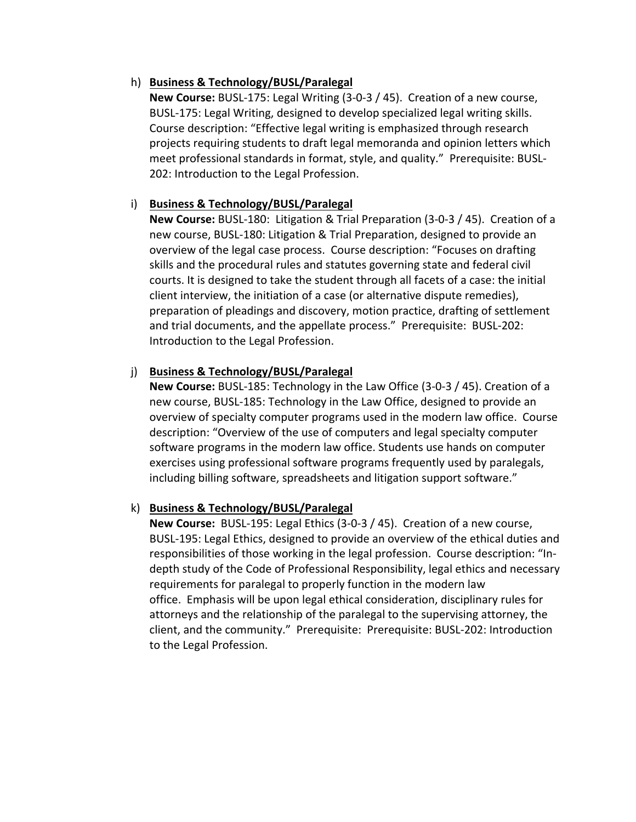### h) **Business & Technology/BUSL/Paralegal**

**New Course:** BUSL‐175: Legal Writing (3‐0‐3 / 45). Creation of a new course, BUSL‐175: Legal Writing, designed to develop specialized legal writing skills. Course description: "Effective legal writing is emphasized through research projects requiring students to draft legal memoranda and opinion letters which meet professional standards in format, style, and quality." Prerequisite: BUSL‐ 202: Introduction to the Legal Profession.

### i) **Business & Technology/BUSL/Paralegal**

**New Course:** BUSL‐180: Litigation & Trial Preparation (3‐0‐3 / 45). Creation of a new course, BUSL‐180: Litigation & Trial Preparation, designed to provide an overview of the legal case process. Course description: "Focuses on drafting skills and the procedural rules and statutes governing state and federal civil courts. It is designed to take the student through all facets of a case: the initial client interview, the initiation of a case (or alternative dispute remedies), preparation of pleadings and discovery, motion practice, drafting of settlement and trial documents, and the appellate process." Prerequisite: BUSL‐202: Introduction to the Legal Profession.

# j) **Business & Technology/BUSL/Paralegal**

**New Course:** BUSL‐185: Technology in the Law Office (3‐0‐3 / 45). Creation of a new course, BUSL‐185: Technology in the Law Office, designed to provide an overview of specialty computer programs used in the modern law office. Course description: "Overview of the use of computers and legal specialty computer software programs in the modern law office. Students use hands on computer exercises using professional software programs frequently used by paralegals, including billing software, spreadsheets and litigation support software."

# k) **Business & Technology/BUSL/Paralegal**

**New Course:** BUSL‐195: Legal Ethics (3‐0‐3 / 45). Creation of a new course, BUSL‐195: Legal Ethics, designed to provide an overview of the ethical duties and responsibilities of those working in the legal profession. Course description: "In‐ depth study of the Code of Professional Responsibility, legal ethics and necessary requirements for paralegal to properly function in the modern law office. Emphasis will be upon legal ethical consideration, disciplinary rules for attorneys and the relationship of the paralegal to the supervising attorney, the client, and the community." Prerequisite: Prerequisite: BUSL‐202: Introduction to the Legal Profession.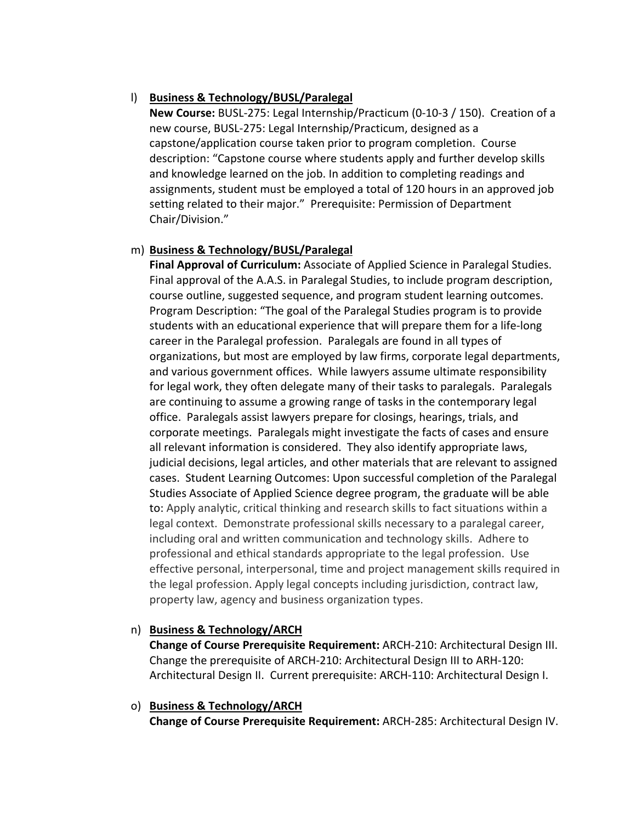# l) **Business & Technology/BUSL/Paralegal**

**New Course:** BUSL‐275: Legal Internship/Practicum (0‐10‐3 / 150). Creation of a new course, BUSL‐275: Legal Internship/Practicum, designed as a capstone/application course taken prior to program completion. Course description: "Capstone course where students apply and further develop skills and knowledge learned on the job. In addition to completing readings and assignments, student must be employed a total of 120 hours in an approved job setting related to their major." Prerequisite: Permission of Department Chair/Division."

# m) **Business & Technology/BUSL/Paralegal**

**Final Approval of Curriculum:** Associate of Applied Science in Paralegal Studies. Final approval of the A.A.S. in Paralegal Studies, to include program description, course outline, suggested sequence, and program student learning outcomes. Program Description: "The goal of the Paralegal Studies program is to provide students with an educational experience that will prepare them for a life‐long career in the Paralegal profession. Paralegals are found in all types of organizations, but most are employed by law firms, corporate legal departments, and various government offices. While lawyers assume ultimate responsibility for legal work, they often delegate many of their tasks to paralegals. Paralegals are continuing to assume a growing range of tasks in the contemporary legal office. Paralegals assist lawyers prepare for closings, hearings, trials, and corporate meetings. Paralegals might investigate the facts of cases and ensure all relevant information is considered. They also identify appropriate laws, judicial decisions, legal articles, and other materials that are relevant to assigned cases. Student Learning Outcomes: Upon successful completion of the Paralegal Studies Associate of Applied Science degree program, the graduate will be able to: Apply analytic, critical thinking and research skills to fact situations within a legal context. Demonstrate professional skills necessary to a paralegal career, including oral and written communication and technology skills. Adhere to professional and ethical standards appropriate to the legal profession. Use effective personal, interpersonal, time and project management skills required in the legal profession. Apply legal concepts including jurisdiction, contract law, property law, agency and business organization types.

# n) **Business & Technology/ARCH**

**Change of Course Prerequisite Requirement:** ARCH‐210: Architectural Design III. Change the prerequisite of ARCH‐210: Architectural Design III to ARH‐120: Architectural Design II. Current prerequisite: ARCH‐110: Architectural Design I.

# o) **Business & Technology/ARCH**

**Change of Course Prerequisite Requirement:** ARCH‐285: Architectural Design IV.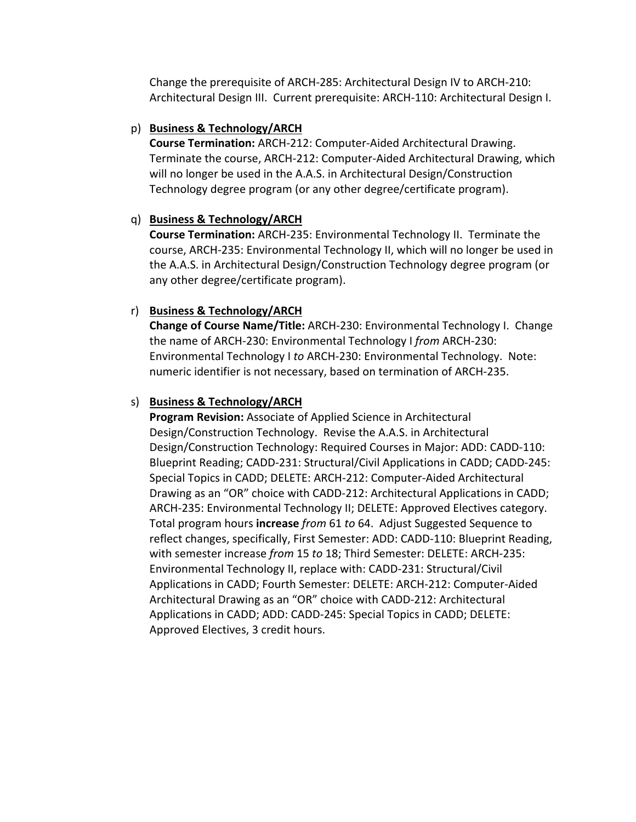Change the prerequisite of ARCH‐285: Architectural Design IV to ARCH‐210: Architectural Design III. Current prerequisite: ARCH‐110: Architectural Design I.

### p) **Business & Technology/ARCH**

**Course Termination:** ARCH‐212: Computer‐Aided Architectural Drawing. Terminate the course, ARCH‐212: Computer‐Aided Architectural Drawing, which will no longer be used in the A.A.S. in Architectural Design/Construction Technology degree program (or any other degree/certificate program).

# q) **Business & Technology/ARCH**

**Course Termination:** ARCH‐235: Environmental Technology II. Terminate the course, ARCH‐235: Environmental Technology II, which will no longer be used in the A.A.S. in Architectural Design/Construction Technology degree program (or any other degree/certificate program).

# r) **Business & Technology/ARCH**

**Change of Course Name/Title:** ARCH‐230: Environmental Technology I. Change the name of ARCH‐230: Environmental Technology I *from* ARCH‐230: Environmental Technology I *to* ARCH‐230: Environmental Technology. Note: numeric identifier is not necessary, based on termination of ARCH‐235.

# s) **Business & Technology/ARCH**

**Program Revision:** Associate of Applied Science in Architectural Design/Construction Technology. Revise the A.A.S. in Architectural Design/Construction Technology: Required Courses in Major: ADD: CADD‐110: Blueprint Reading; CADD‐231: Structural/Civil Applications in CADD; CADD‐245: Special Topics in CADD; DELETE: ARCH‐212: Computer‐Aided Architectural Drawing as an "OR" choice with CADD‐212: Architectural Applications in CADD; ARCH‐235: Environmental Technology II; DELETE: Approved Electives category. Total program hours **increase** *from* 61 *to* 64. Adjust Suggested Sequence to reflect changes, specifically, First Semester: ADD: CADD‐110: Blueprint Reading, with semester increase *from* 15 *to* 18; Third Semester: DELETE: ARCH‐235: Environmental Technology II, replace with: CADD‐231: Structural/Civil Applications in CADD; Fourth Semester: DELETE: ARCH‐212: Computer‐Aided Architectural Drawing as an "OR" choice with CADD‐212: Architectural Applications in CADD; ADD: CADD‐245: Special Topics in CADD; DELETE: Approved Electives, 3 credit hours.